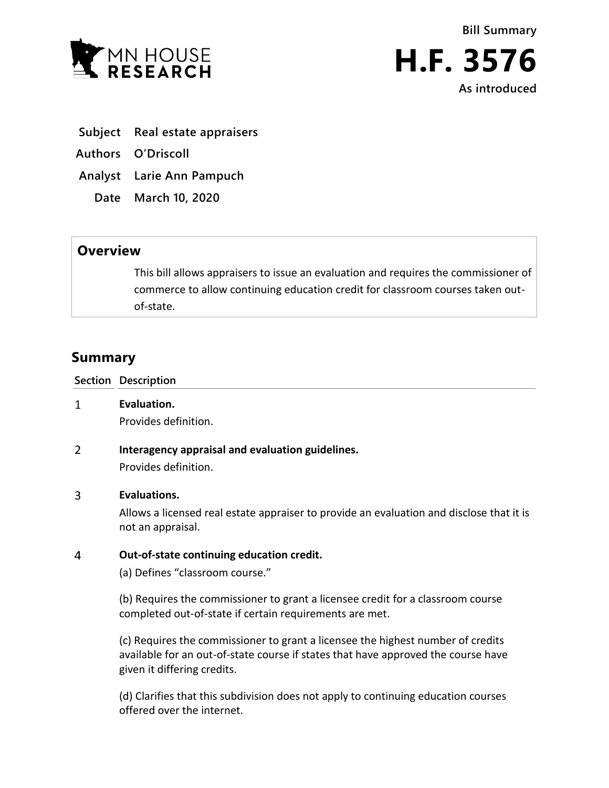



- **Subject Real estate appraisers**
- **Authors O'Driscoll**
- **Analyst Larie Ann Pampuch**
	- **Date March 10, 2020**

# **Overview**

This bill allows appraisers to issue an evaluation and requires the commissioner of commerce to allow continuing education credit for classroom courses taken outof-state.

# **Summary**

**Section Description**

- $\mathbf{1}$ **Evaluation.** Provides definition.
- $\overline{2}$ **Interagency appraisal and evaluation guidelines.** Provides definition.

## $\overline{3}$ **Evaluations.**

Allows a licensed real estate appraiser to provide an evaluation and disclose that it is not an appraisal.

#### $\overline{4}$ **Out-of-state continuing education credit.**

(a) Defines "classroom course."

(b) Requires the commissioner to grant a licensee credit for a classroom course completed out-of-state if certain requirements are met.

(c) Requires the commissioner to grant a licensee the highest number of credits available for an out-of-state course if states that have approved the course have given it differing credits.

(d) Clarifies that this subdivision does not apply to continuing education courses offered over the internet.